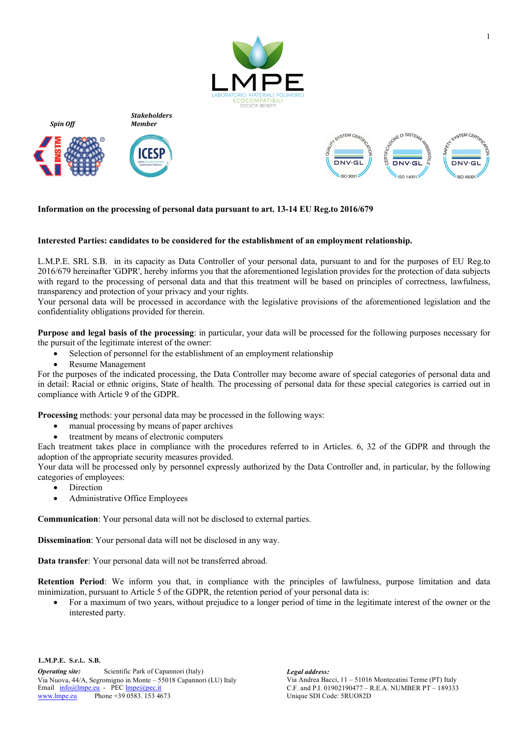





*Spin Off*





## **Information on the processing of personal data pursuant to art. 13-14 EU Reg.to 2016/679**

## **Interested Parties: candidates to be considered for the establishment of an employment relationship.**

L.M.P.E. SRL S.B. in its capacity as Data Controller of your personal data, pursuant to and for the purposes of EU Reg.to 2016/679 hereinafter 'GDPR', hereby informs you that the aforementioned legislation provides for the protection of data subjects with regard to the processing of personal data and that this treatment will be based on principles of correctness, lawfulness, transparency and protection of your privacy and your rights.

Your personal data will be processed in accordance with the legislative provisions of the aforementioned legislation and the confidentiality obligations provided for therein.

**Purpose and legal basis of the processing**: in particular, your data will be processed for the following purposes necessary for the pursuit of the legitimate interest of the owner:

- Selection of personnel for the establishment of an employment relationship
- Resume Management

For the purposes of the indicated processing, the Data Controller may become aware of special categories of personal data and in detail: Racial or ethnic origins, State of health. The processing of personal data for these special categories is carried out in compliance with Article 9 of the GDPR.

**Processing** methods: your personal data may be processed in the following ways:

- manual processing by means of paper archives
- treatment by means of electronic computers

Each treatment takes place in compliance with the procedures referred to in Articles. 6, 32 of the GDPR and through the adoption of the appropriate security measures provided.

Your data will be processed only by personnel expressly authorized by the Data Controller and, in particular, by the following categories of employees:

- **Direction**
- Administrative Office Employees

**Communication**: Your personal data will not be disclosed to external parties.

**Dissemination**: Your personal data will not be disclosed in any way.

**Data transfer**: Your personal data will not be transferred abroad.

**Retention Period**: We inform you that, in compliance with the principles of lawfulness, purpose limitation and data minimization, pursuant to Article 5 of the GDPR, the retention period of your personal data is:

• For a maximum of two years, without prejudice to a longer period of time in the legitimate interest of the owner or the interested party.

**L.M.P.E. S.r.l.. S.B.**

*Operating site:* Scientific Park of Capannori (Italy) *Legal address:* Via Nuova, 44/A, Segromigno in Monte – 55018 Capannori (LU) Italy Via Andrea Bacci, 11 – 51016 Montecatini Terme (PT) Italy Email  $\frac{info@lmpe.eu}{N}$  - PEC  $\frac{lmpe@pec.it}{N}$  C.F. and P.I. 01902190477 – www.lmpe.eu Phone +39 0583. 153 4673

Unique SDI Code: 5RUO82D C.F. and P.I. 01902190477 – R.E.A. NUMBER PT – 189333